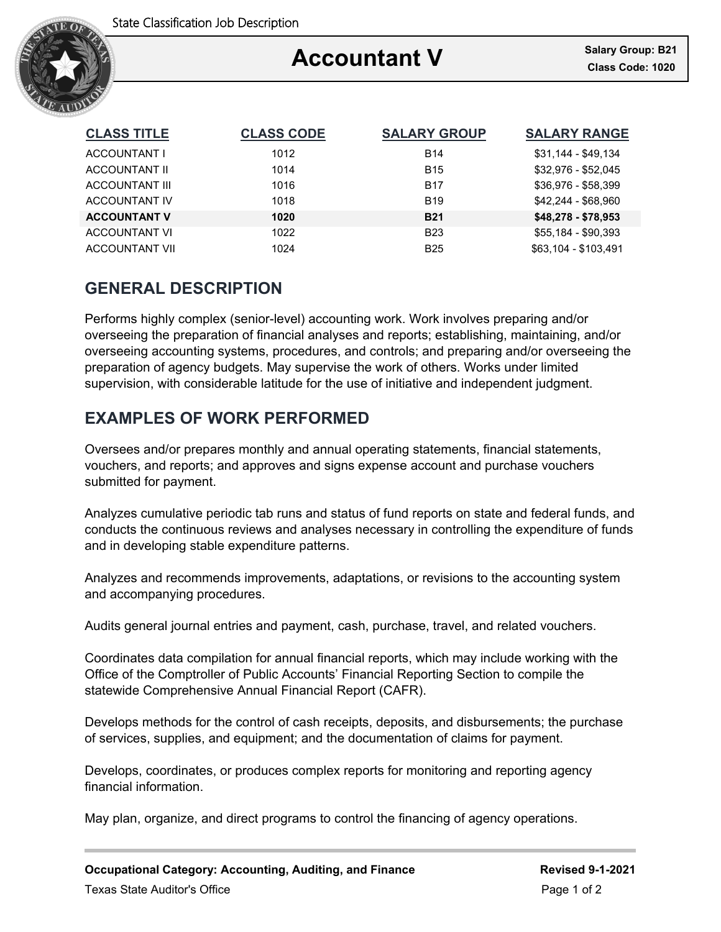

### Ξ **Accountant V**

| <b>CLASS TITLE</b>    | <b>CLASS CODE</b> | <b>SALARY GROUP</b> | <b>SALARY RANGE</b>  |
|-----------------------|-------------------|---------------------|----------------------|
| ACCOUNTANT I          | 1012              | <b>B14</b>          | $$31,144 - $49,134$  |
| ACCOUNTANT II         | 1014              | <b>B15</b>          | \$32.976 - \$52.045  |
| <b>ACCOUNTANT III</b> | 1016              | <b>B17</b>          | \$36,976 - \$58,399  |
| <b>ACCOUNTANT IV</b>  | 1018              | <b>B19</b>          | \$42.244 - \$68.960  |
| <b>ACCOUNTANT V</b>   | 1020              | <b>B21</b>          | $$48,278 - $78,953$  |
| <b>ACCOUNTANT VI</b>  | 1022              | <b>B23</b>          | \$55.184 - \$90.393  |
| <b>ACCOUNTANT VII</b> | 1024              | <b>B25</b>          | \$63,104 - \$103.491 |

## **GENERAL DESCRIPTION**

Performs highly complex (senior-level) accounting work. Work involves preparing and/or overseeing the preparation of financial analyses and reports; establishing, maintaining, and/or overseeing accounting systems, procedures, and controls; and preparing and/or overseeing the preparation of agency budgets. May supervise the work of others. Works under limited supervision, with considerable latitude for the use of initiative and independent judgment.

# **EXAMPLES OF WORK PERFORMED**

Oversees and/or prepares monthly and annual operating statements, financial statements, vouchers, and reports; and approves and signs expense account and purchase vouchers submitted for payment.

Analyzes cumulative periodic tab runs and status of fund reports on state and federal funds, and conducts the continuous reviews and analyses necessary in controlling the expenditure of funds and in developing stable expenditure patterns.

Analyzes and recommends improvements, adaptations, or revisions to the accounting system and accompanying procedures.

Audits general journal entries and payment, cash, purchase, travel, and related vouchers.

Coordinates data compilation for annual financial reports, which may include working with the Office of the Comptroller of Public Accounts' Financial Reporting Section to compile the statewide Comprehensive Annual Financial Report (CAFR).

Develops methods for the control of cash receipts, deposits, and disbursements; the purchase of services, supplies, and equipment; and the documentation of claims for payment.

Develops, coordinates, or produces complex reports for monitoring and reporting agency financial information.

May plan, organize, and direct programs to control the financing of agency operations.